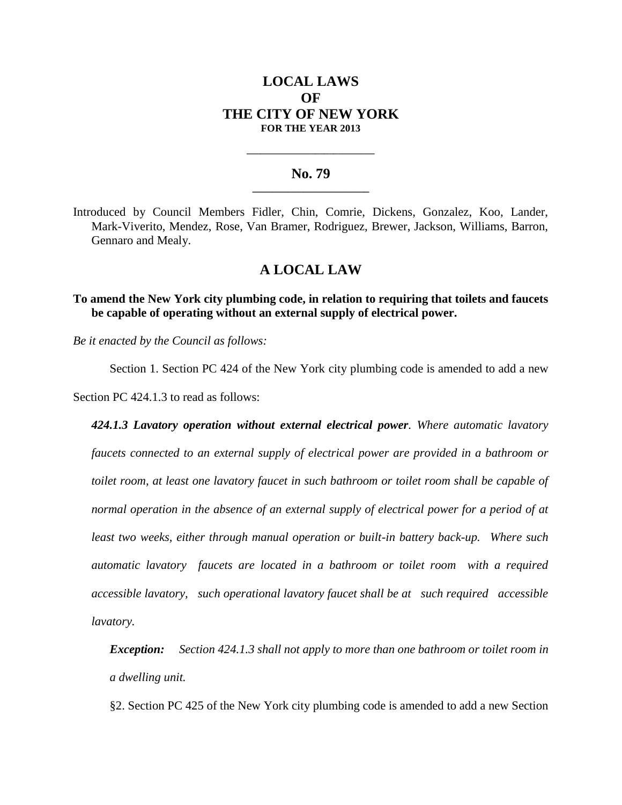# **LOCAL LAWS OF THE CITY OF NEW YORK FOR THE YEAR 2013**

### **No. 79 \_\_\_\_\_\_\_\_\_\_\_\_\_\_\_\_\_\_\_\_\_\_\_**

**\_\_\_\_\_\_\_\_\_\_\_\_\_\_\_\_\_\_\_\_\_\_\_\_\_\_\_\_**

Introduced by Council Members Fidler, Chin, Comrie, Dickens, Gonzalez, Koo, Lander, Mark-Viverito, Mendez, Rose, Van Bramer, Rodriguez, Brewer, Jackson, Williams, Barron, Gennaro and Mealy.

# **A LOCAL LAW**

**To amend the New York city plumbing code, in relation to requiring that toilets and faucets be capable of operating without an external supply of electrical power.**

*Be it enacted by the Council as follows:*

Section 1. Section PC 424 of the New York city plumbing code is amended to add a new Section PC 424.1.3 to read as follows:

*424.1.3 Lavatory operation without external electrical power. Where automatic lavatory faucets connected to an external supply of electrical power are provided in a bathroom or toilet room, at least one lavatory faucet in such bathroom or toilet room shall be capable of normal operation in the absence of an external supply of electrical power for a period of at least two weeks, either through manual operation or built-in battery back-up. Where such automatic lavatory faucets are located in a bathroom or toilet room with a required accessible lavatory, such operational lavatory faucet shall be at such required accessible lavatory.*

*Exception: Section 424.1.3 shall not apply to more than one bathroom or toilet room in a dwelling unit.*

§2. Section PC 425 of the New York city plumbing code is amended to add a new Section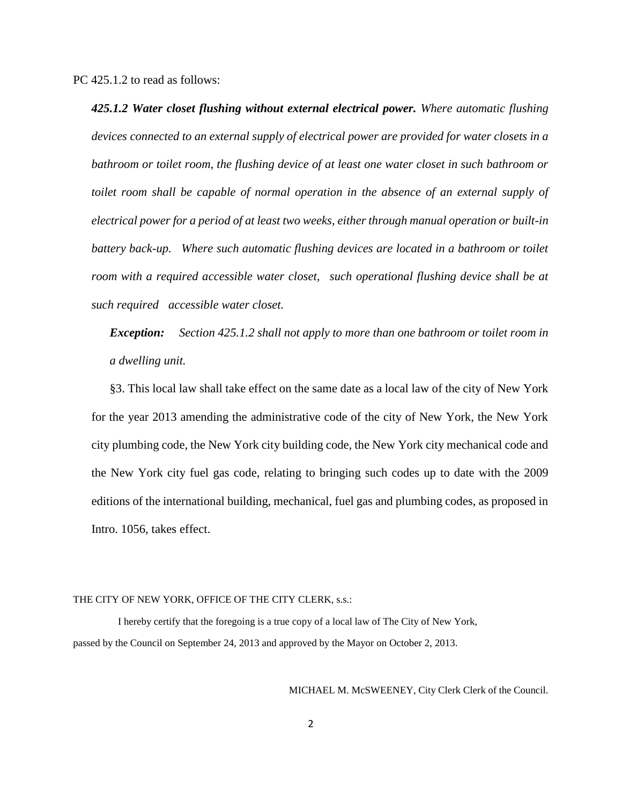PC 425.1.2 to read as follows:

*425.1.2 Water closet flushing without external electrical power. Where automatic flushing devices connected to an external supply of electrical power are provided for water closets in a bathroom or toilet room, the flushing device of at least one water closet in such bathroom or toilet room shall be capable of normal operation in the absence of an external supply of electrical power for a period of at least two weeks, either through manual operation or built-in*  battery back-up. Where such automatic flushing devices are located in a bathroom or toilet *room with a required accessible water closet, such operational flushing device shall be at such required accessible water closet.*

*Exception: Section 425.1.2 shall not apply to more than one bathroom or toilet room in a dwelling unit.*

§3. This local law shall take effect on the same date as a local law of the city of New York for the year 2013 amending the administrative code of the city of New York, the New York city plumbing code, the New York city building code, the New York city mechanical code and the New York city fuel gas code, relating to bringing such codes up to date with the 2009 editions of the international building, mechanical, fuel gas and plumbing codes, as proposed in Intro. 1056, takes effect.

#### THE CITY OF NEW YORK, OFFICE OF THE CITY CLERK, s.s.:

 I hereby certify that the foregoing is a true copy of a local law of The City of New York, passed by the Council on September 24, 2013 and approved by the Mayor on October 2, 2013.

MICHAEL M. McSWEENEY, City Clerk Clerk of the Council.